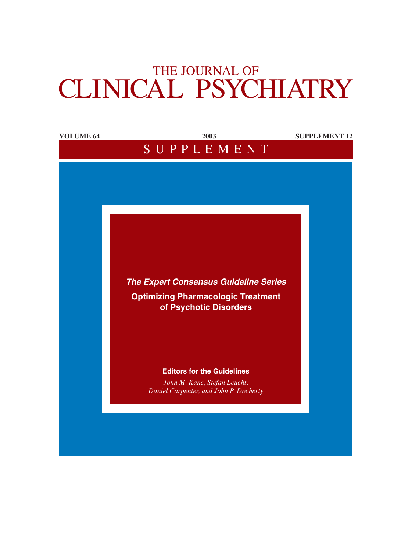# THE JOURNAL OF CLINICAL PSYCHIATRY

| <b>VOLUME 64</b> | 2003                                         | <b>SUPPLEMENT 12</b> |
|------------------|----------------------------------------------|----------------------|
|                  | SUPPLEMENT                                   |                      |
|                  |                                              |                      |
|                  |                                              |                      |
|                  |                                              |                      |
|                  |                                              |                      |
|                  |                                              |                      |
|                  |                                              |                      |
|                  |                                              |                      |
|                  |                                              |                      |
|                  |                                              |                      |
|                  |                                              |                      |
|                  | <b>The Expert Consensus Guideline Series</b> |                      |
|                  | <b>Optimizing Pharmacologic Treatment</b>    |                      |
|                  | of Psychotic Disorders                       |                      |
|                  |                                              |                      |
|                  |                                              |                      |
|                  |                                              |                      |
|                  |                                              |                      |
|                  | <b>Editors for the Guidelines</b>            |                      |
|                  | John M. Kane, Stefan Leucht,                 |                      |
|                  | Daniel Carpenter, and John P. Docherty       |                      |
|                  |                                              |                      |
|                  |                                              |                      |
|                  |                                              |                      |
|                  |                                              |                      |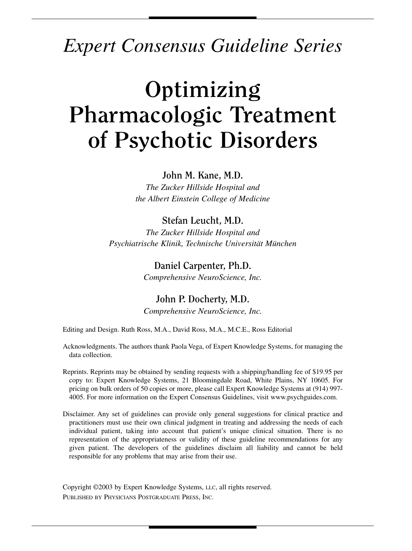# *Expert Consensus Guideline Series*

# **Optimizing Pharmacologic Treatment of Psychotic Disorders**

### **John M. Kane, M.D.**

*The Zucker Hillside Hospital and the Albert Einstein College of Medicine*

## **Stefan Leucht, M.D.**

*The Zucker Hillside Hospital and Psychiatrische Klinik, Technische Universität München*

## **Daniel Carpenter, Ph.D.**

*Comprehensive NeuroScience, Inc.*

## **John P. Docherty, M.D.**

*Comprehensive NeuroScience, Inc.*

Editing and Design. Ruth Ross, M.A., David Ross, M.A., M.C.E., Ross Editorial

Acknowledgments. The authors thank Paola Vega, of Expert Knowledge Systems, for managing the data collection.

Reprints. Reprints may be obtained by sending requests with a shipping/handling fee of \$19.95 per copy to: Expert Knowledge Systems, 21 Bloomingdale Road, White Plains, NY 10605. For pricing on bulk orders of 50 copies or more, please call Expert Knowledge Systems at (914) 997- 4005. For more information on the Expert Consensus Guidelines, visit www.psychguides.com.

Disclaimer. Any set of guidelines can provide only general suggestions for clinical practice and practitioners must use their own clinical judgment in treating and addressing the needs of each individual patient, taking into account that patient's unique clinical situation. There is no representation of the appropriateness or validity of these guideline recommendations for any given patient. The developers of the guidelines disclaim all liability and cannot be held responsible for any problems that may arise from their use.

Copyright ©2003 by Expert Knowledge Systems, LLC, all rights reserved. PUBLISHED BY PHYSICIANS POSTGRADUATE PRESS, INC.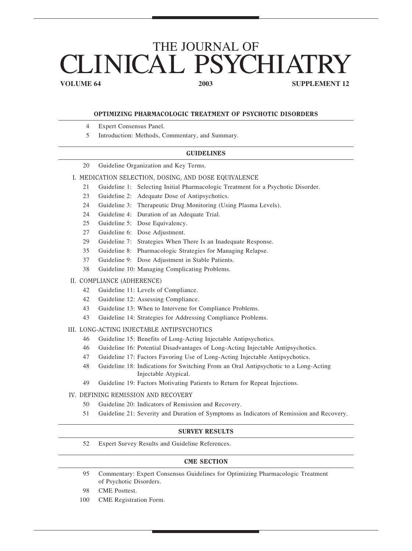# THE JOURNAL OF LINICAL PSYCHIAT

**VOLUME 64** 2003 2003 SUPPLEMENT 12

#### OPTIMIZING PHARMACOLOGIC TREATMENT OF PSYCHOTIC DISORDERS

- 4 Expert Consensus Panel.
- 5 Introduction: Methods, Commentary, and Summary.

#### GUIDELINES

20 Guideline Organization and Key Terms.

#### I. MEDICATION SELECTION, DOSING, AND DOSE EQUIVALENCE

- 21 Guideline 1: Selecting Initial Pharmacologic Treatment for a Psychotic Disorder.
- 23 Guideline 2: Adequate Dose of Antipsychotics.
- 24 Guideline 3: Therapeutic Drug Monitoring (Using Plasma Levels).
- 24 Guideline 4: Duration of an Adequate Trial.
- 25 Guideline 5: Dose Equivalency.
- 27 Guideline 6: Dose Adjustment.
- 29 Guideline 7: Strategies When There Is an Inadequate Response.
- 35 Guideline 8: Pharmacologic Strategies for Managing Relapse.
- 37 Guideline 9: Dose Adjustment in Stable Patients.
- 38 Guideline 10: Managing Complicating Problems.

#### II. COMPLIANCE (ADHERENCE)

- 42 Guideline 11: Levels of Compliance.
- 42 Guideline 12: Assessing Compliance.
- 43 Guideline 13: When to Intervene for Compliance Problems.
- 43 Guideline 14: Strategies for Addressing Compliance Problems.

#### III. LONG-ACTING INJECTABLE ANTIPSYCHOTICS

- 46 Guideline 15: Benefits of Long-Acting Injectable Antipsychotics.
- 46 Guideline 16: Potential Disadvantages of Long-Acting Injectable Antipsychotics.
- 47 Guideline 17: Factors Favoring Use of Long-Acting Injectable Antipsychotics.
- 48 Guideline 18: Indications for Switching From an Oral Antipsychotic to a Long-Acting Injectable Atypical.
- 49 Guideline 19: Factors Motivating Patients to Return for Repeat Injections.

#### IV. DEFINING REMISSION AND RECOVERY

- 50 Guideline 20: Indicators of Remission and Recovery.
- 51 Guideline 21: Severity and Duration of Symptoms as Indicators of Remission and Recovery.

#### SURVEY RESULTS

52 Expert Survey Results and Guideline References.

#### CME SECTION

- 95 Commentary: Expert Consensus Guidelines for Optimizing Pharmacologic Treatment of Psychotic Disorders.
- 98 CME Posttest.
- 100 CME Registration Form.